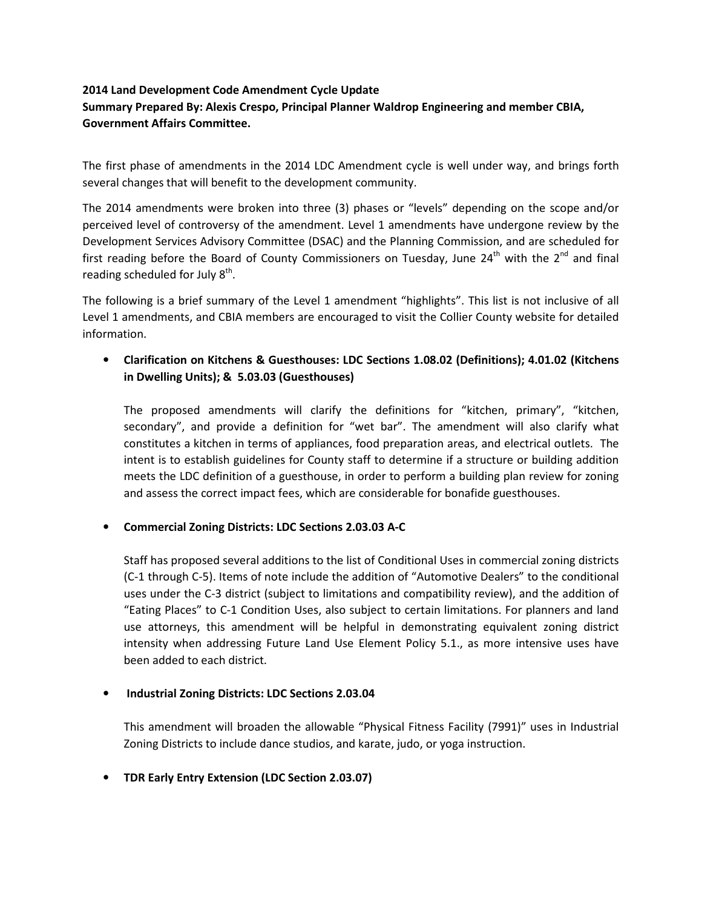# 2014 Land Development Code Amendment Cycle Update

# Summary Prepared By: Alexis Crespo, Principal Planner Waldrop Engineering and member CBIA, Government Affairs Committee.

The first phase of amendments in the 2014 LDC Amendment cycle is well under way, and brings forth several changes that will benefit to the development community.

The 2014 amendments were broken into three (3) phases or "levels" depending on the scope and/or perceived level of controversy of the amendment. Level 1 amendments have undergone review by the Development Services Advisory Committee (DSAC) and the Planning Commission, and are scheduled for first reading before the Board of County Commissioners on Tuesday, June  $24^{th}$  with the  $2^{nd}$  and final reading scheduled for July  $8<sup>th</sup>$ .

The following is a brief summary of the Level 1 amendment "highlights". This list is not inclusive of all Level 1 amendments, and CBIA members are encouraged to visit the Collier County website for detailed information.

# • Clarification on Kitchens & Guesthouses: LDC Sections 1.08.02 (Definitions); 4.01.02 (Kitchens in Dwelling Units); & 5.03.03 (Guesthouses)

The proposed amendments will clarify the definitions for "kitchen, primary", "kitchen, secondary", and provide a definition for "wet bar". The amendment will also clarify what constitutes a kitchen in terms of appliances, food preparation areas, and electrical outlets. The intent is to establish guidelines for County staff to determine if a structure or building addition meets the LDC definition of a guesthouse, in order to perform a building plan review for zoning and assess the correct impact fees, which are considerable for bonafide guesthouses.

## • Commercial Zoning Districts: LDC Sections 2.03.03 A-C

Staff has proposed several additions to the list of Conditional Uses in commercial zoning districts (C-1 through C-5). Items of note include the addition of "Automotive Dealers" to the conditional uses under the C-3 district (subject to limitations and compatibility review), and the addition of "Eating Places" to C-1 Condition Uses, also subject to certain limitations. For planners and land use attorneys, this amendment will be helpful in demonstrating equivalent zoning district intensity when addressing Future Land Use Element Policy 5.1., as more intensive uses have been added to each district.

## • Industrial Zoning Districts: LDC Sections 2.03.04

This amendment will broaden the allowable "Physical Fitness Facility (7991)" uses in Industrial Zoning Districts to include dance studios, and karate, judo, or yoga instruction.

## • TDR Early Entry Extension (LDC Section 2.03.07)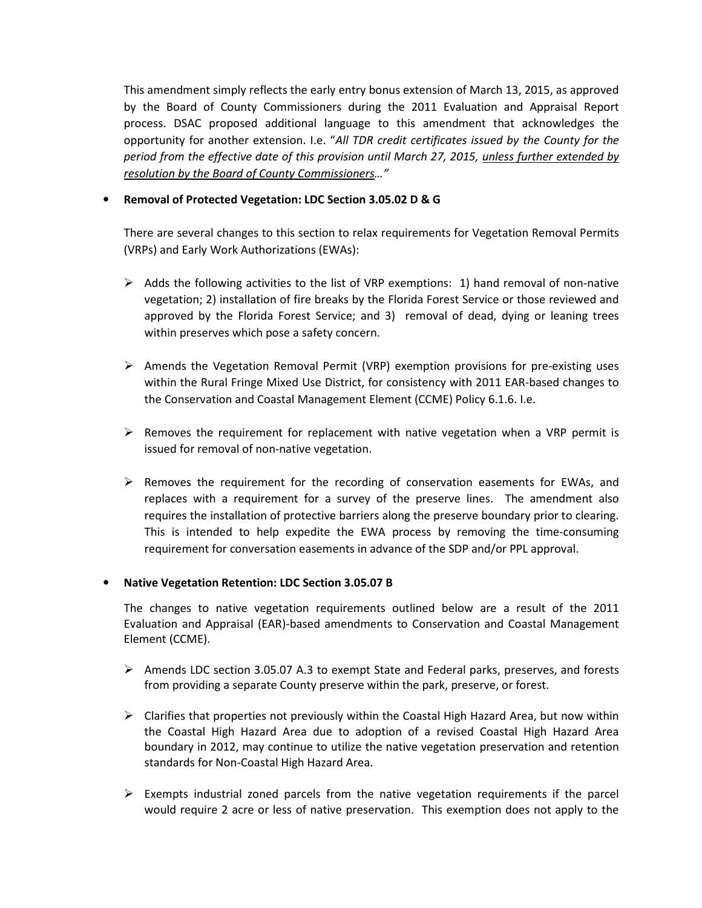This amendment simply reflects the early entry bonus extension of March 13, 2015, as approved by the Board of County Commissioners during the 2011 Evaluation and Appraisal Report process. DSAC proposed additional language to this amendment that acknowledges the opportunity for another extension. I.e. "All TDR credit certificates issued by the County for the period from the effective date of this provision until March 27, 2015, unless further extended by resolution by the Board of County Commissioners…"

## • Removal of Protected Vegetation: LDC Section 3.05.02 D & G

There are several changes to this section to relax requirements for Vegetation Removal Permits (VRPs) and Early Work Authorizations (EWAs):

- $\triangleright$  Adds the following activities to the list of VRP exemptions: 1) hand removal of non-native vegetation; 2) installation of fire breaks by the Florida Forest Service or those reviewed and approved by the Florida Forest Service; and 3) removal of dead, dying or leaning trees within preserves which pose a safety concern.
- $\triangleright$  Amends the Vegetation Removal Permit (VRP) exemption provisions for pre-existing uses within the Rural Fringe Mixed Use District, for consistency with 2011 EAR-based changes to the Conservation and Coastal Management Element (CCME) Policy 6.1.6. I.e.
- $\triangleright$  Removes the requirement for replacement with native vegetation when a VRP permit is issued for removal of non-native vegetation.
- $\triangleright$  Removes the requirement for the recording of conservation easements for EWAs, and replaces with a requirement for a survey of the preserve lines. The amendment also requires the installation of protective barriers along the preserve boundary prior to clearing. This is intended to help expedite the EWA process by removing the time-consuming requirement for conversation easements in advance of the SDP and/or PPL approval.

### • Native Vegetation Retention: LDC Section 3.05.07 B

The changes to native vegetation requirements outlined below are a result of the 2011 Evaluation and Appraisal (EAR)-based amendments to Conservation and Coastal Management Element (CCME).

- $\triangleright$  Amends LDC section 3.05.07 A.3 to exempt State and Federal parks, preserves, and forests from providing a separate County preserve within the park, preserve, or forest.
- $\triangleright$  Clarifies that properties not previously within the Coastal High Hazard Area, but now within the Coastal High Hazard Area due to adoption of a revised Coastal High Hazard Area boundary in 2012, may continue to utilize the native vegetation preservation and retention standards for Non-Coastal High Hazard Area.
- $\triangleright$  Exempts industrial zoned parcels from the native vegetation requirements if the parcel would require 2 acre or less of native preservation. This exemption does not apply to the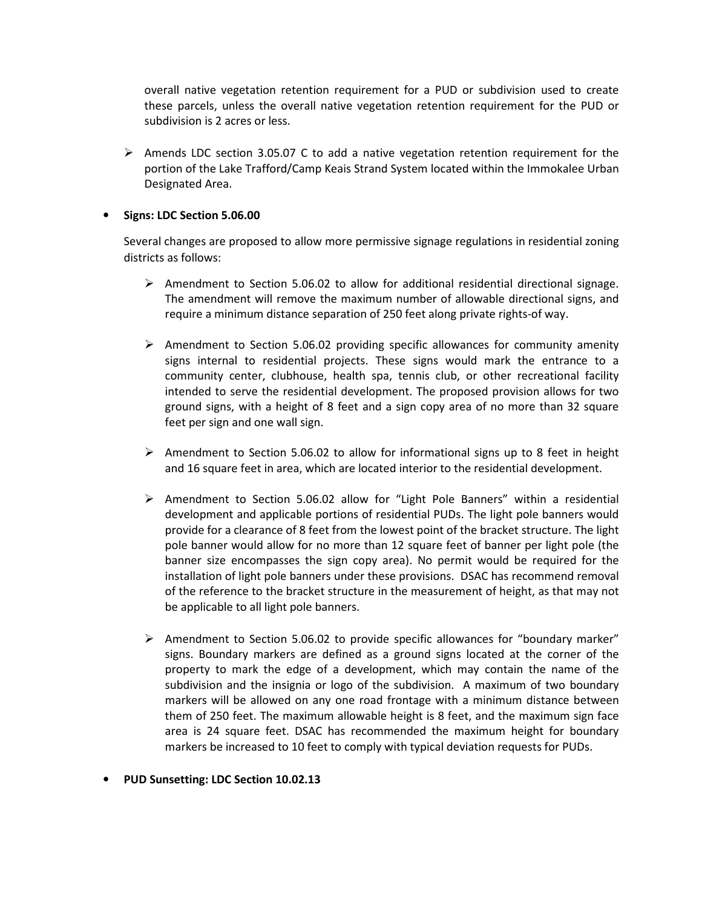overall native vegetation retention requirement for a PUD or subdivision used to create these parcels, unless the overall native vegetation retention requirement for the PUD or subdivision is 2 acres or less.

 $\triangleright$  Amends LDC section 3.05.07 C to add a native vegetation retention requirement for the portion of the Lake Trafford/Camp Keais Strand System located within the Immokalee Urban Designated Area.

### • Signs: LDC Section 5.06.00

Several changes are proposed to allow more permissive signage regulations in residential zoning districts as follows:

- $\triangleright$  Amendment to Section 5.06.02 to allow for additional residential directional signage. The amendment will remove the maximum number of allowable directional signs, and require a minimum distance separation of 250 feet along private rights-of way.
- $\triangleright$  Amendment to Section 5.06.02 providing specific allowances for community amenity signs internal to residential projects. These signs would mark the entrance to a community center, clubhouse, health spa, tennis club, or other recreational facility intended to serve the residential development. The proposed provision allows for two ground signs, with a height of 8 feet and a sign copy area of no more than 32 square feet per sign and one wall sign.
- Amendment to Section 5.06.02 to allow for informational signs up to 8 feet in height and 16 square feet in area, which are located interior to the residential development.
- $\triangleright$  Amendment to Section 5.06.02 allow for "Light Pole Banners" within a residential development and applicable portions of residential PUDs. The light pole banners would provide for a clearance of 8 feet from the lowest point of the bracket structure. The light pole banner would allow for no more than 12 square feet of banner per light pole (the banner size encompasses the sign copy area). No permit would be required for the installation of light pole banners under these provisions. DSAC has recommend removal of the reference to the bracket structure in the measurement of height, as that may not be applicable to all light pole banners.
- $\triangleright$  Amendment to Section 5.06.02 to provide specific allowances for "boundary marker" signs. Boundary markers are defined as a ground signs located at the corner of the property to mark the edge of a development, which may contain the name of the subdivision and the insignia or logo of the subdivision. A maximum of two boundary markers will be allowed on any one road frontage with a minimum distance between them of 250 feet. The maximum allowable height is 8 feet, and the maximum sign face area is 24 square feet. DSAC has recommended the maximum height for boundary markers be increased to 10 feet to comply with typical deviation requests for PUDs.
- PUD Sunsetting: LDC Section 10.02.13